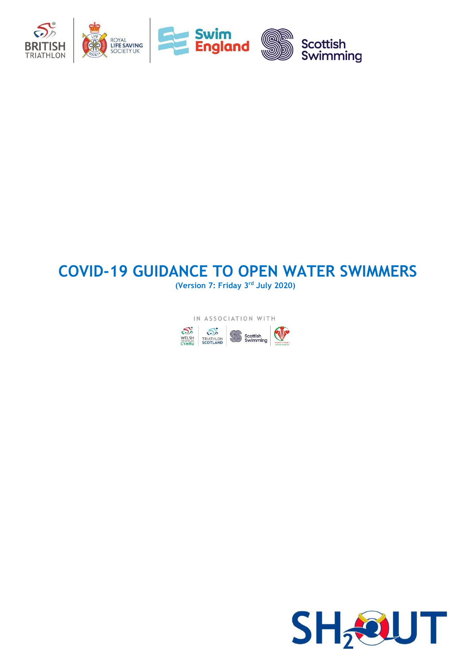

# **COVID-19 GUIDANCE TO OPEN WATER SWIMMERS**

**(Version 7: Friday 3rd July 2020)**



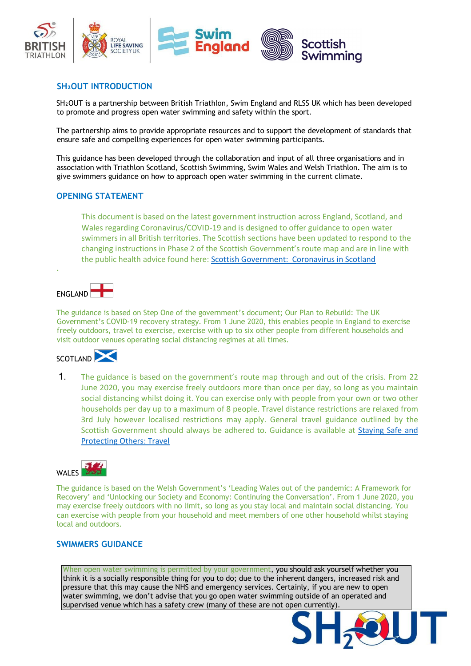

### **SH₂OUT INTRODUCTION**

SH<sub>2</sub>OUT is a partnership between British Triathlon, Swim England and RLSS UK which has been developed to promote and progress open water swimming and safety within the sport.

The partnership aims to provide appropriate resources and to support the development of standards that ensure safe and compelling experiences for open water swimming participants.

This guidance has been developed through the collaboration and input of all three organisations and in association with Triathlon Scotland, Scottish Swimming, Swim Wales and Welsh Triathlon. The aim is to give swimmers guidance on how to approach open water swimming in the current climate.

#### **OPENING STATEMENT**

This document is based on the latest government instruction across England, Scotland, and Wales regarding Coronavirus/COVID-19 and is designed to offer guidance to open water swimmers in all British territories. The Scottish sections have been updated to respond to the changing instructions in Phase 2 of the Scottish Government's route map and are in line with the public health advice found here: [Scottish Government: Coronavirus in Scotland](http://www.gov.scot/coronavirus-covid-19/)

FNGLAND

.

The guidance is based on Step One of the government's document; Our Plan to Rebuild: The UK Government's COVID-19 recovery strategy. From 1 June 2020, this enables people in England to exercise freely outdoors, travel to exercise, exercise with up to six other people from different households and visit outdoor venues operating social distancing regimes at all times.



1. The guidance is based on the government's route map through and out of the crisis. From 22 June 2020, you may exercise freely outdoors more than once per day, so long as you maintain social distancing whilst doing it. You can exercise only with people from your own or two other households per day up to a maximum of 8 people. Travel distance restrictions are relaxed from 3rd July however localised restrictions may apply. General travel guidance outlined by the Scottish Government should always be adhered to. Guidance is available at [Staying Safe and](http://www.gov.scot/publications/coronavirus-covid-19-phase-2-staying-safe-and-protecting-others/pages/travel/)  [Protecting Others: Travel](http://www.gov.scot/publications/coronavirus-covid-19-phase-2-staying-safe-and-protecting-others/pages/travel/) 



The guidance is based on the Welsh Government's 'Leading Wales out of the pandemic: A Framework for Recovery' and 'Unlocking our Society and Economy: Continuing the Conversation'. From 1 June 2020, you may exercise freely outdoors with no limit, so long as you stay local and maintain social distancing. You can exercise with people from your household and meet members of one other household whilst staying local and outdoors.

#### **SWIMMERS GUIDANCE**

When open water swimming is permitted by your government, you should ask yourself whether you think it is a socially responsible thing for you to do; due to the inherent dangers, increased risk and pressure that this may cause the NHS and emergency services. Certainly, if you are new to open water swimming, we don't advise that you go open water swimming outside of an operated and supervised venue which has a safety crew (many of these are not open currently).

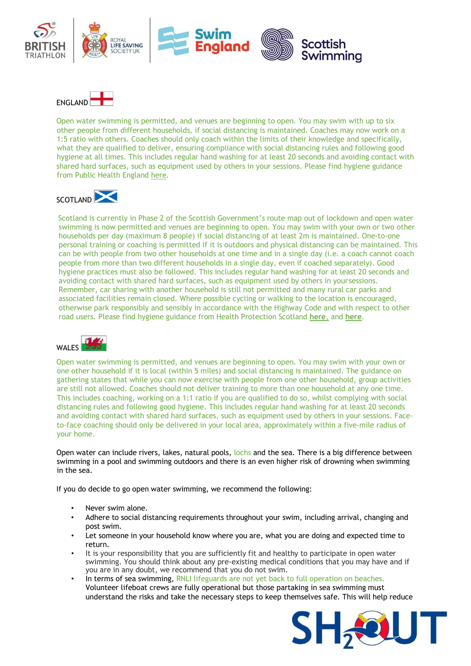



Open water swimming is permitted, and venues are beginning to open. You may swim with up to six other people from different households, if social distancing is maintained. Coaches may now work on a 1:5 ratio with others. Coaches should only coach within the limits of their knowledge and specifically, what they are qualified to deliver, ensuring compliance with social distancing rules and following good hygiene at all times. This includes regular hand washing for at least 20 seconds and avoiding contact with shared hard surfaces, such as equipment used by others in your sessions. Please find hygiene guidance from Public Health Englan[d](https://www.gov.uk/government/publications/wuhan-novel-coronavirus-infection-prevention-and-control) [here.](https://www.gov.uk/government/publications/wuhan-novel-coronavirus-infection-prevention-and-control)

# SCOTLAND

Scotland is currently in Phase 2 of the Scottish Government's route map out of lockdown and open water swimming is now permitted and venues are beginning to open. You may swim with your own or two other households per day (maximum 8 people) if social distancing of at least 2m is maintained. One-to-one personal training or coaching is permitted if it is outdoors and physical distancing can be maintained. This can be with people from two other households at one time and in a single day (i.e. a coach cannot coach people from more than two different households in a single day, even if coached separately). Good hygiene practices must also be followed. This includes regular hand washing for at least 20 seconds and avoiding contact with shared hard surfaces, such as equipment used by others in your sessions. Remember, car sharing with another household is still not permitted and many rural car parks and associated facilities remain closed. Where possible cycling or walking to the location is encouraged, otherwise park responsibly and sensibly in accordance with the Highway Code and with respect to other road users. Please find hygiene guidance from Health Protection Scotland **[here](https://www.hps.scot.nhs.uk/web-resources-container/covid-19-guidance-for-non-healthcare-settings/)**, and **[here](https://www.hps.scot.nhs.uk/a-to-z-of-topics/hand-hygiene/)**.



Open water swimming is permitted, and venues are beginning to open. You may swim with your own or one other household if it is local (within 5 miles) and social distancing is maintained. The guidance on gathering states that while you can now exercise with people from one other household, group activities are still not allowed. Coaches should not deliver training to more than one household at any one time. This includes coaching, working on a 1:1 ratio if you are qualified to do so, whilst complying with social distancing rules and following good hygiene. This includes regular hand washing for at least 20 seconds and avoiding contact with shared hard surfaces, such as equipment used by others in your sessions. Faceto-face coaching should only be delivered in your local area, approximately within a five-mile radius of your home.

Open water can include rivers, lakes, natural pools, lochs and the sea. There is a big difference between swimming in a pool and swimming outdoors and there is an even higher risk of drowning when swimming in the sea.

If you do decide to go open water swimming, we recommend the following:

- Never swim alone.
- Adhere to social distancing requirements throughout your swim, including arrival, changing and post swim.
- Let someone in your household know where you are, what you are doing and expected time to return.
- It is your responsibility that you are sufficiently fit and healthy to participate in open water swimming. You should think about any pre-existing medical conditions that you may have and if you are in any doubt, we recommend that you do not swim.
- In terms of sea swimming, RNLI lifeguards are not yet back to full operation on beaches. Volunteer lifeboat crews are fully operational but those partaking in sea swimming must understand the risks and take the necessary steps to keep themselves safe. This will help reduce

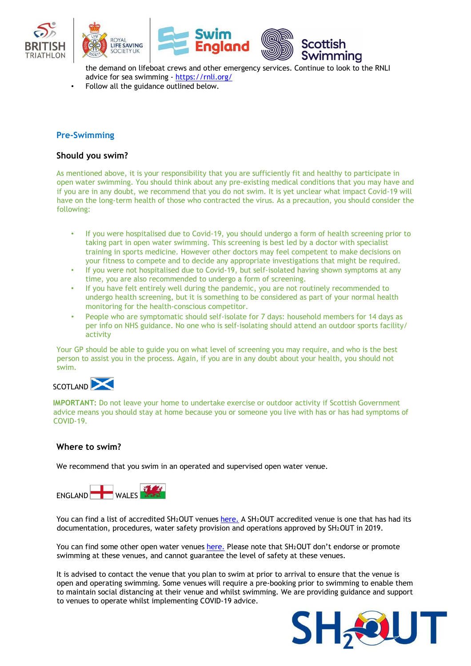

the demand on lifeboat crews and other emergency services. Continue to look to the RNLI advice for sea swimming [-](https://eur01.safelinks.protection.outlook.com/?url=https%3A%2F%2Frnli.org%2F&data=02%7C01%7Chelenmarney%40britishtriathlon.org%7Cafc283741a59436ec85d08d7f67a07f4%7C07fe2f50667547739a65ffe43ba4930e%7C0%7C0%7C637248876296936263&sdata=QZlx1nMjI87h2VmUnT24QZApmgAZlnZeWVYwHQEPogU%3D&reserved=0) [https://rnli.org/](https://eur01.safelinks.protection.outlook.com/?url=https%3A%2F%2Frnli.org%2F&data=02%7C01%7Chelenmarney%40britishtriathlon.org%7Cafc283741a59436ec85d08d7f67a07f4%7C07fe2f50667547739a65ffe43ba4930e%7C0%7C0%7C637248876296936263&sdata=QZlx1nMjI87h2VmUnT24QZApmgAZlnZeWVYwHQEPogU%3D&reserved=0)

• Follow all the guidance outlined below.

#### **Pre-Swimming**

#### **Should you swim?**

As mentioned above, it is your responsibility that you are sufficiently fit and healthy to participate in open water swimming. You should think about any pre-existing medical conditions that you may have and if you are in any doubt, we recommend that you do not swim. It is yet unclear what impact Covid-19 will have on the long-term health of those who contracted the virus. As a precaution, you should consider the following:

- If you were hospitalised due to Covid-19, you should undergo a form of health screening prior to taking part in open water swimming. This screening is best led by a doctor with specialist training in sports medicine. However other doctors may feel competent to make decisions on your fitness to compete and to decide any appropriate investigations that might be required.
- If you were not hospitalised due to Covid-19, but self-isolated having shown symptoms at any time, you are also recommended to undergo a form of screening.
- If you have felt entirely well during the pandemic, you are not routinely recommended to undergo health screening, but it is something to be considered as part of your normal health monitoring for the health-conscious competitor.
- People who are symptomatic should self-isolate for 7 days: household members for 14 days as per info on NHS guidance. No one who is self-isolating should attend an outdoor sports facility/ activity

Your GP should be able to guide you on what level of screening you may require, and who is the best person to assist you in the process. Again, if you are in any doubt about your health, you should not swim.



**IMPORTANT:** Do not leave your home to undertake exercise or outdoor activity if Scottish Government advice means you should stay at home because you or someone you live with has or has had symptoms of COVID-19.

# **Where to swim?**

We recommend that you swim in an operated and supervised open water venue.



You can find a list of accredited SH2OUT venues [here.](https://www.sh2out.org/safe-venues/search) [A](https://www.sh2out.org/safe-venues/search) SH2OUT accredited venue is one that has had its documentation, procedures, water safety provision and operations approved by SH2OUT in 2019.

You can find some other open water venues [here.](https://outdoorswimmer.com/find/venues) [Pl](https://outdoorswimmer.com/find/venues)ease note that SH2OUT don't endorse or promote swimming at these venues, and cannot guarantee the level of safety at these venues.

It is advised to contact the venue that you plan to swim at prior to arrival to ensure that the venue is open and operating swimming. Some venues will require a pre-booking prior to swimming to enable them to maintain social distancing at their venue and whilst swimming. We are providing guidance and support to venues to operate whilst implementing COVID-19 advice.

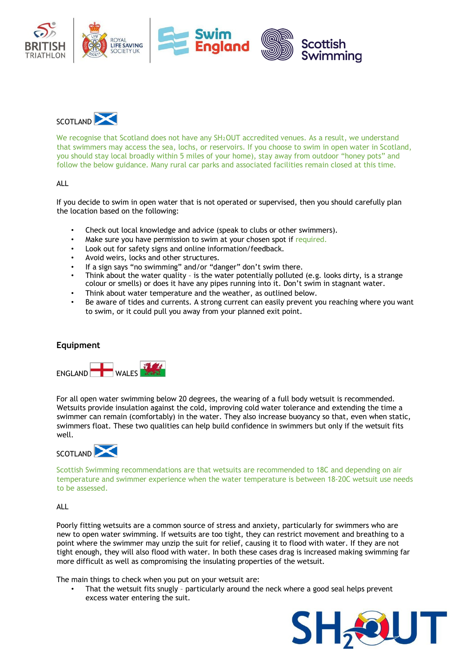



We recognise that Scotland does not have any SH<sup>2</sup>OUT accredited venues. As a result, we understand that swimmers may access the sea, lochs, or reservoirs. If you choose to swim in open water in Scotland, you should stay local broadly within 5 miles of your home), stay away from outdoor "honey pots" and follow the below guidance. Many rural car parks and associated facilities remain closed at this time.

#### ALL

If you decide to swim in open water that is not operated or supervised, then you should carefully plan the location based on the following:

- Check out local knowledge and advice (speak to clubs or other swimmers).
- Make sure you have permission to swim at your chosen spot if required.
- Look out for safety signs and online information/feedback.
- Avoid weirs, locks and other structures.
- If a sign says "no swimming" and/or "danger" don't swim there.
- Think about the water quality is the water potentially polluted (e.g. looks dirty, is a strange colour or smells) or does it have any pipes running into it. Don't swim in stagnant water.
- Think about water temperature and the weather, as outlined below.
- Be aware of tides and currents. A strong current can easily prevent you reaching where you want to swim, or it could pull you away from your planned exit point.

#### **Equipment**



For all open water swimming below 20 degrees, the wearing of a full body wetsuit is recommended. Wetsuits provide insulation against the cold, improving cold water tolerance and extending the time a swimmer can remain (comfortably) in the water. They also increase buoyancy so that, even when static, swimmers float. These two qualities can help build confidence in swimmers but only if the wetsuit fits well.



Scottish Swimming recommendations are that wetsuits are recommended to 18C and depending on air temperature and swimmer experience when the water temperature is between 18-20C wetsuit use needs to be assessed.

ALL

Poorly fitting wetsuits are a common source of stress and anxiety, particularly for swimmers who are new to open water swimming. If wetsuits are too tight, they can restrict movement and breathing to a point where the swimmer may unzip the suit for relief, causing it to flood with water. If they are not tight enough, they will also flood with water. In both these cases drag is increased making swimming far more difficult as well as compromising the insulating properties of the wetsuit.

The main things to check when you put on your wetsuit are:

• That the wetsuit fits snugly – particularly around the neck where a good seal helps prevent excess water entering the suit.

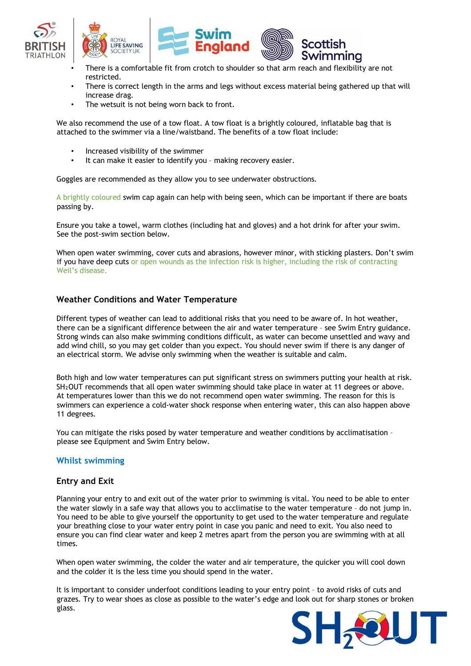





- There is a comfortable fit from crotch to shoulder so that arm reach and flexibility are not restricted.
- There is correct length in the arms and legs without excess material being gathered up that will increase drag.
- The wetsuit is not being worn back to front.

We also recommend the use of a tow float. A tow float is a brightly coloured, inflatable bag that is attached to the swimmer via a line/waistband. The benefits of a tow float include:

- Increased visibility of the swimmer
- It can make it easier to identify you making recovery easier.

Goggles are recommended as they allow you to see underwater obstructions.

A brightly coloured swim cap again can help with being seen, which can be important if there are boats passing by.

Ensure you take a towel, warm clothes (including hat and gloves) and a hot drink for after your swim. See the post-swim section below.

When open water swimming, cover cuts and abrasions, however minor, with sticking plasters. Don't swim if you have deep cuts or open wounds as the infection risk is higher, including the risk of contracting Weil's disease.

# **Weather Conditions and Water Temperature**

Different types of weather can lead to additional risks that you need to be aware of. In hot weather, there can be a significant difference between the air and water temperature – see Swim Entry guidance. Strong winds can also make swimming conditions difficult, as water can become unsettled and wavy and add wind chill, so you may get colder than you expect. You should never swim if there is any danger of an electrical storm. We advise only swimming when the weather is suitable and calm.

Both high and low water temperatures can put significant stress on swimmers putting your health at risk. SH<sub>2</sub>OUT recommends that all open water swimming should take place in water at 11 degrees or above. At temperatures lower than this we do not recommend open water swimming. The reason for this is swimmers can experience a cold-water shock response when entering water, this can also happen above 11 degrees.

You can mitigate the risks posed by water temperature and weather conditions by acclimatisation – please see Equipment and Swim Entry below.

#### **Whilst swimming**

#### **Entry and Exit**

Planning your entry to and exit out of the water prior to swimming is vital. You need to be able to enter the water slowly in a safe way that allows you to acclimatise to the water temperature – do not jump in. You need to be able to give yourself the opportunity to get used to the water temperature and regulate your breathing close to your water entry point in case you panic and need to exit. You also need to ensure you can find clear water and keep 2 metres apart from the person you are swimming with at all times.

When open water swimming, the colder the water and air temperature, the quicker you will cool down and the colder it is the less time you should spend in the water.

It is important to consider underfoot conditions leading to your entry point – to avoid risks of cuts and grazes. Try to wear shoes as close as possible to the water's edge and look out for sharp stones or broken glass.

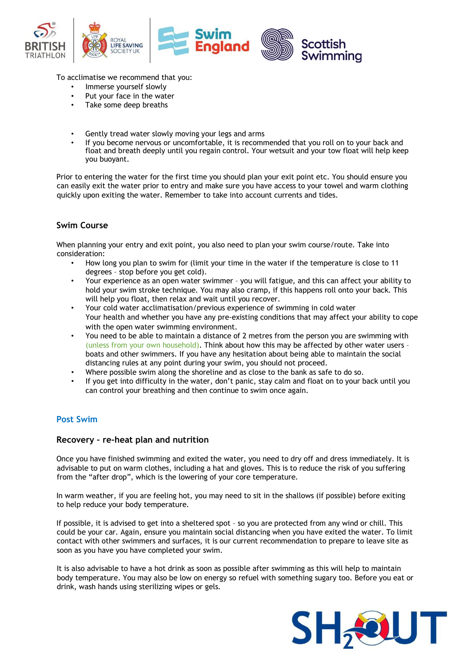

To acclimatise we recommend that you:

- Immerse yourself slowly
- Put your face in the water
- Take some deep breaths
- Gently tread water slowly moving your legs and arms
- If you become nervous or uncomfortable, it is recommended that you roll on to your back and float and breath deeply until you regain control. Your wetsuit and your tow float will help keep you buoyant.

Prior to entering the water for the first time you should plan your exit point etc. You should ensure you can easily exit the water prior to entry and make sure you have access to your towel and warm clothing quickly upon exiting the water. Remember to take into account currents and tides.

# **Swim Course**

When planning your entry and exit point, you also need to plan your swim course/route. Take into consideration:

- How long you plan to swim for (limit your time in the water if the temperature is close to 11 degrees – stop before you get cold).
- Your experience as an open water swimmer you will fatigue, and this can affect your ability to hold your swim stroke technique. You may also cramp, if this happens roll onto your back. This will help you float, then relax and wait until you recover.
- Your cold water acclimatisation/previous experience of swimming in cold water Your health and whether you have any pre-existing conditions that may affect your ability to cope with the open water swimming environment.
- You need to be able to maintain a distance of 2 metres from the person you are swimming with (unless from your own household). Think about how this may be affected by other water users – boats and other swimmers. If you have any hesitation about being able to maintain the social distancing rules at any point during your swim, you should not proceed.
- Where possible swim along the shoreline and as close to the bank as safe to do so.
- If you get into difficulty in the water, don't panic, stay calm and float on to your back until you can control your breathing and then continue to swim once again.

#### **Post Swim**

#### **Recovery – re-heat plan and nutrition**

Once you have finished swimming and exited the water, you need to dry off and dress immediately. It is advisable to put on warm clothes, including a hat and gloves. This is to reduce the risk of you suffering from the "after drop", which is the lowering of your core temperature.

In warm weather, if you are feeling hot, you may need to sit in the shallows (if possible) before exiting to help reduce your body temperature.

If possible, it is advised to get into a sheltered spot – so you are protected from any wind or chill. This could be your car. Again, ensure you maintain social distancing when you have exited the water. To limit contact with other swimmers and surfaces, it is our current recommendation to prepare to leave site as soon as you have you have completed your swim.

It is also advisable to have a hot drink as soon as possible after swimming as this will help to maintain body temperature. You may also be low on energy so refuel with something sugary too. Before you eat or drink, wash hands using sterilizing wipes or gels.